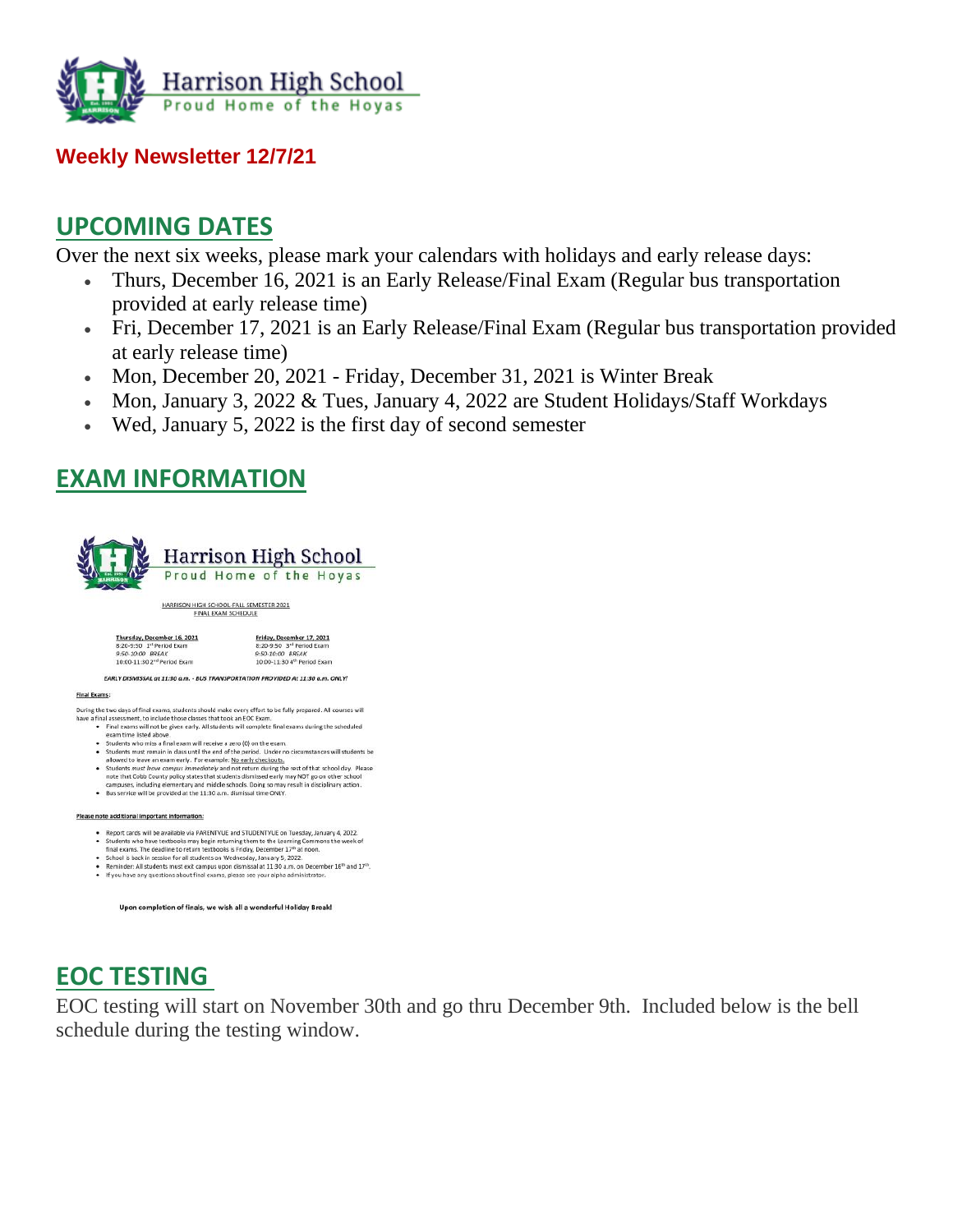

#### **Weekly Newsletter 12/7/21**

### **UPCOMING DATES**

Over the next six weeks, please mark your calendars with holidays and early release days:

- Thurs, December 16, 2021 is an Early Release/Final Exam (Regular bus transportation provided at early release time)
- Fri, December 17, 2021 is an Early Release/Final Exam (Regular bus transportation provided at early release time)
- Mon, December 20, 2021 Friday, December 31, 2021 is Winter Break
- Mon, January 3, 2022 & Tues, January 4, 2022 are Student Holidays/Staff Workdays
- Wed, January 5, 2022 is the first day of second semester

### **EXAM INFORMATION**



- 
- **Example:**<br> **Example:**<br> **Example:** The two days of final exams, students should make every effort to be fully prepared. All courses will<br>
the a final assessment, to include those classes that took an EOC Exam.<br>
 Students
	-
	-
	-
	-
	-

#### Please note additional important information:

- . Report cards will be available via PARENTVUE and STUDENTVUE on Tuesday, January 4, 2022.
- 
- 
- Report cards will be available via PARENTVULE and STUDENTVUE on Tuesday, January Students who have textbooks may begin returning them to the Learning Commons the week of final exams. The deadline to return textbooks is Fr

```
Upon completion of finals, we wish all a wonderful Holiday Break!
```
## **EOC TESTING**

EOC testing will start on November 30th and go thru December 9th. Included below is the bell schedule during the testing window.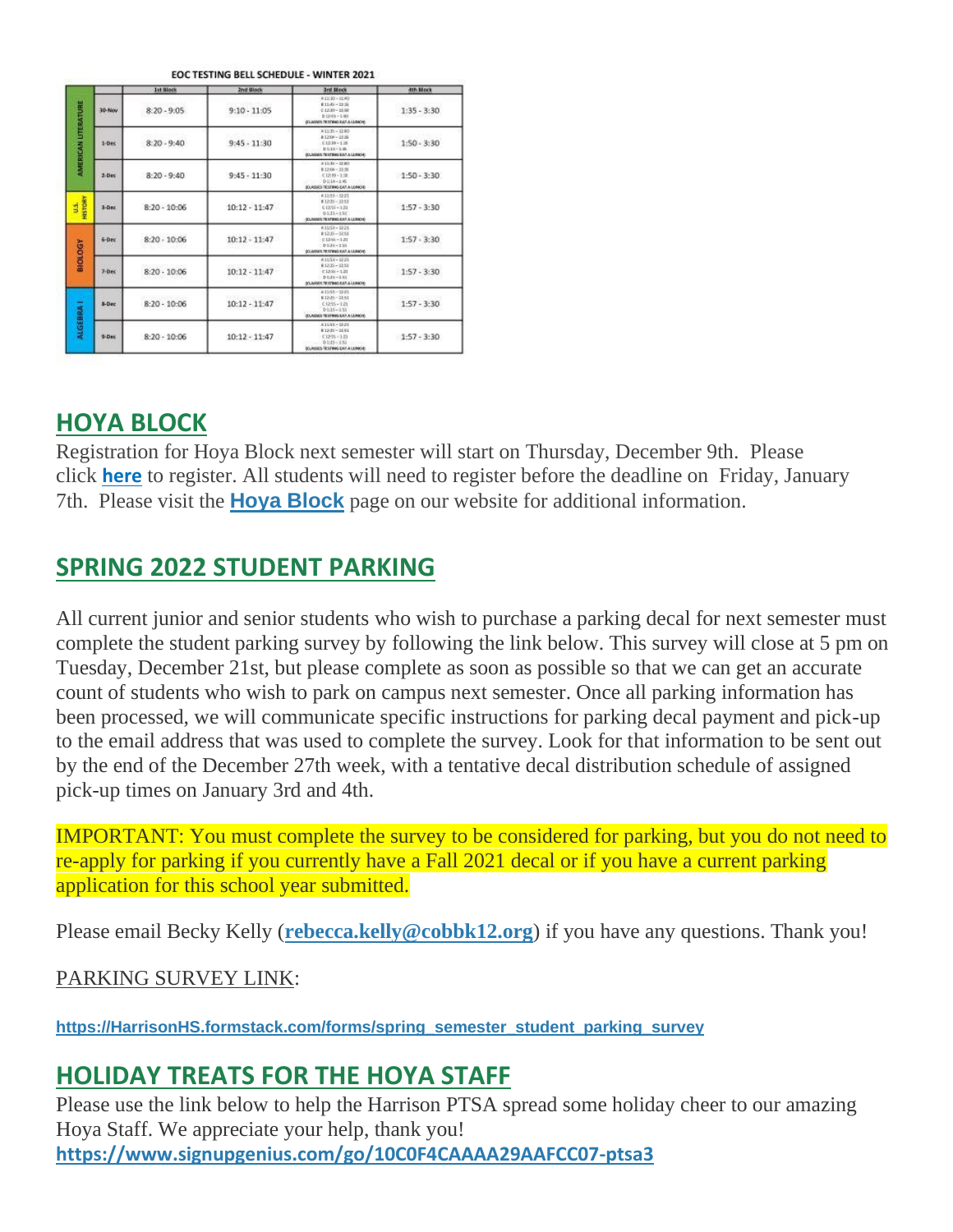|                           |            | <b>Ist Block</b> | <b>2nd Block</b> | <b>Brd Mock</b>                                                                                                     | 4th Block     |
|---------------------------|------------|------------------|------------------|---------------------------------------------------------------------------------------------------------------------|---------------|
| <b>AMERICAN UTERATURE</b> | 30-Nov     | $8:20 - 9:05$    | $9:10 - 11:05$   | 4.11:30 - 11:40<br>$83148 - 3335$<br>$413.30 - 11.96$<br>$D(368 - 1/80)$<br>STANDER TO STREET AND A LEBROS.         | $1:35 - 3:30$ |
|                           | $5$ -Dec   | $8:20 - 9:40$    | $9:45 - 11:30$   | #1035 - 1240<br>$k + 266 - 1156$<br>01209-120<br>$D = 14 - 1.46$<br><b>CLASSIC TESTING EAT A LENGTH</b>             | $1:50 - 3:30$ |
|                           | $2 - Dec$  | $8:20 - 9:40$    | $9:45 - 11:30$   | $8.15 \times -17.00$<br>$0.1266 - 11.91$<br>$01210 - 136$<br>$D = 14 - 1.95$<br><b>JOURNES TESTING EAT A LONDIE</b> | $1:50 - 3:30$ |
| HISTORY<br>ś              | $3-Dec$    | $8:20 - 10:06$   | $10:12 - 11:47$  | #1245 - U-21<br>#1235-3253<br>$C1258 - 121$<br>$0.115 - 1.51$<br>SCANSES TESTING SAT A LUNCH.                       | $1:57 - 3:30$ |
| <b>NOTORA</b>             | $6-0$ ec   | $8:20 - 10:06$   | $10:12 - 11:47$  | 4:159 - 17:21<br>$0.1226 - 1051$<br>$0.1368 - 1.21$<br>$D136 - 152$<br>STUMMES TO STRAG EAT A LEASENE               | $1:57 - 3:30$ |
|                           | $7 - 0$ ec | $8:20 - 10:06$   | $10:12 - 11:47$  | 41552-1221<br>#1235-1251<br>$1368 - 121$<br>$DLMh - 1.61$<br>SCUMBER TRATING RAT A LEBROID.                         | $1:57 - 3:30$ |
| <b>ALGEBRA I</b>          | 5-Dec      | $8:20 - 10:06$   | $10:12 - 11:47$  | 41148-1141<br>812-28-22-51<br>$C1255 - 123$<br>$D1:35-1:53$<br><b>JOUNSES TESTING EAT A LUNICH.</b>                 | $1:57 - 3:30$ |
|                           | 9-Dec      | $8:20 - 10:06$   | $10:12 - 11:47$  | $83558 - 3241$<br>$0.12(23 - 31.4)$<br>$(1293 - 12)$<br>$0135 - 151$<br><b>SCLASSES RESTING GAT A LUNICIE</b>       | $1:57 - 3:30$ |

#### OCTECTIVE BELL CENTRULE MUNITED 2021

### **HOYA BLOCK**

Registration for Hoya Block next semester will start on Thursday, December 9th. Please click **[here](http://url503.cobbk12.org/ls/click?upn=Lr5Kj85exJaDj793QUoDMxoBFqYG9jsvxI4LoJlDFzMhUCpXbnVhhqIbIvVR7eDkW2lzE7udnvgKuQAcOzbNvqwOcyAOegilze8a86prJ3fs7WsFbuGo7F-2BRKeWxq3SIuaiP11vaI8L0hwp4wkrNqfoN6fZy3-2Fi0LRAg0lkB8izCeheAI-2F2CyN2u5ExeZNDbFdCB_W-2BfLYUoUwwI1tuGClKRhhPOSepcZIFoXnUIMjiA717kQ1i13BNQTwwJ9cl-2BWArXr6-2FDxoCbNFrRaplJKtN7fZwlGTMOm3SJj6ZyahDng4fb813AYzG3qkleoqvkLGDE6Ye2KXxrlyCRlym7-2F4-2BxA9aANtuUaSR0WSpkIBexdyHUz9X2k9Sm-2Fs6Lg-2BLUfWEZGTopE0kpbTZpNGMOG89RI0wP1917VnXiasCtq09iq-2Fx19P1BTjJAj2wzq1TcfkArcHRmWoiaiDX-2BPE6LDSDyhIw-3D-3D)** to register. All students will need to register before the deadline on Friday, January 7th. Please visit the **Hoya [Block](http://url503.cobbk12.org/ls/click?upn=oq5wnnHoD1NAxpT8rNAGXMR1eG7MJW44UQRvGTy3TsrYMq-2B5vCvT-2FZh3QX3QFVG1Zf2WVq3mBUwffgB8KB5Wsg-3D-3DViX7_W-2BfLYUoUwwI1tuGClKRhhPOSepcZIFoXnUIMjiA717kQ1i13BNQTwwJ9cl-2BWArXr6-2FDxoCbNFrRaplJKtN7fZwlGTMOm3SJj6ZyahDng4fb813AYzG3qkleoqvkLGDE6G7nzmAaL6yWswGfel5iMnp1s3f-2FLKRElhiJSdzdq1rcmlor-2BC-2B62kBqieEsH5NyvK-2B17M2nW9XbpmK2JKeXf-2F5PQjpuaDrh5oU1Q4jNpfoCZFJe7nejCRCiOzNvMWZcA2RYvj13EZPOd5lSSKwBciw-3D-3D)** page on our website for additional information.

### **SPRING 2022 STUDENT PARKING**

All current junior and senior students who wish to purchase a parking decal for next semester must complete the student parking survey by following the link below. This survey will close at 5 pm on Tuesday, December 21st, but please complete as soon as possible so that we can get an accurate count of students who wish to park on campus next semester. Once all parking information has been processed, we will communicate specific instructions for parking decal payment and pick-up to the email address that was used to complete the survey. Look for that information to be sent out by the end of the December 27th week, with a tentative decal distribution schedule of assigned pick-up times on January 3rd and 4th.

IMPORTANT: You must complete the survey to be considered for parking, but you do not need to re-apply for parking if you currently have a Fall 2021 decal or if you have a current parking application for this school year submitted.

Please email Becky Kelly (**[rebecca.kelly@cobbk12.org](mailto:rebecca.kelly@cobbk12.org)**) if you have any questions. Thank you!

PARKING SURVEY LINK:

**[https://HarrisonHS.formstack.com/forms/spring\\_semester\\_student\\_parking\\_survey](http://url503.cobbk12.org/ls/click?upn=k2a9oSGmmBVDQ-2BEzH5jEzTLwNsB7PjW5hg5PGN5MBEoDNYx4yj3kqjPckyv8emA-2BNGDUCnQQFe9BJpVJd1DUhhT3d87fYLIpmi-2Bv-2BT-2BiGLRQ8YDGxR0YrKgRditXgTRdqX1y_W-2BfLYUoUwwI1tuGClKRhhPOSepcZIFoXnUIMjiA717kQ1i13BNQTwwJ9cl-2BWArXr6-2FDxoCbNFrRaplJKtN7fZwlGTMOm3SJj6ZyahDng4fb813AYzG3qkleoqvkLGDE64OiQUxbBykTHrK8Uf0-2BMRLVf-2BdVbKJroz-2FWAmj-2BGOno5-2FshxQYnZXV7XK5e17tgJyY-2FiEUdTOX1mYkbeMF3IjAu3JI8u0-2F-2BoDkp1MOEoGXLlR-2BHzYYYPhM2RQAkAqvz62qm07DT7F26Gm7sDzC-2FEmA-3D-3D)**

### **HOLIDAY TREATS FOR THE HOYA STAFF**

Please use the link below to help the Harrison PTSA spread some holiday cheer to our amazing Hoya Staff. We appreciate your help, thank you! **[https://www.signupgenius.com/go/10C0F4CAAAA29AAFCC07-ptsa3](http://url503.cobbk12.org/ls/click?upn=Q-2BKaVIKfS2AqG1NntRWXIqe3VLrAF6HtQZXW1Eop37-2BHD1-2FJeBI8RcsNCzxppcBz0DlAzN5HVHa4jFBsYhEq-2FTtx4F3uDw8i0Et4Ko14jOyvmI1H-2BAf5gG-2FKDqhzv-2BKLPoDWPgEeyAxzwXKUMehTv5gyjR8JZzUgV3yQ3Svu2pv1IISSYYKdDyOdnbfY8rpAlntVAXtkNP0zpsMDHp6yMT8xFbJt1GchNRIOOkYrtRHTOmUQCkB-2FPzAcF-2F-2FFycCMFZ-2BAU6RqwBPd2bNv4cWtllgIKgNcM8ouiM1UsJiI2yUOQjKb6Gf1TCNNoAOHRpvKtO7CAwm41NNUQFBnFtcSd-2BOaJKfxxDGLgjmA2te7FF9dyYleVBnhGoiQE43D6uIb4tKsTM1dlbEM1bI-2FNWqZW7alO-2Fvk-2Ft-2FMaXYA9SwpoBflumV3bWqwHbo27cr1kgqLYJBfU9dJeET8EB3vQL7GAmAeacfb0JTDvv-2F4Bq9uqua9EzxUcK398kWwW-2FhMvcjz-2FN-2FFp0w8-2BvCWzKiS6vr2aqBj1IdueCt45GoPKDIFn801iA2JH1GIHKoPO9LeHsPhg82OQSiLsMcE0odelHVCig-3D-3DVifu_W-2BfLYUoUwwI1tuGClKRhhPOSepcZIFoXnUIMjiA717kQ1i13BNQTwwJ9cl-2BWArXr6-2FDxoCbNFrRaplJKtN7fZwlGTMOm3SJj6ZyahDng4fb813AYzG3qkleoqvkLGDE6Y6C9RdVyVNo5lyVgw-2FYPh73ed5B2KO4JQVkqc9SYJfGpY-2Bv5-2BDHHsZqVPnizIay28iCvxWOHp-2F9tRtRZ0S78g7dRDpuPqyiE8TeFUbcS1JuGg3K0AC6tW2lF-2FXGLDxdo6hUOA22Ltx0heTeA2q6uTA-3D-3D)**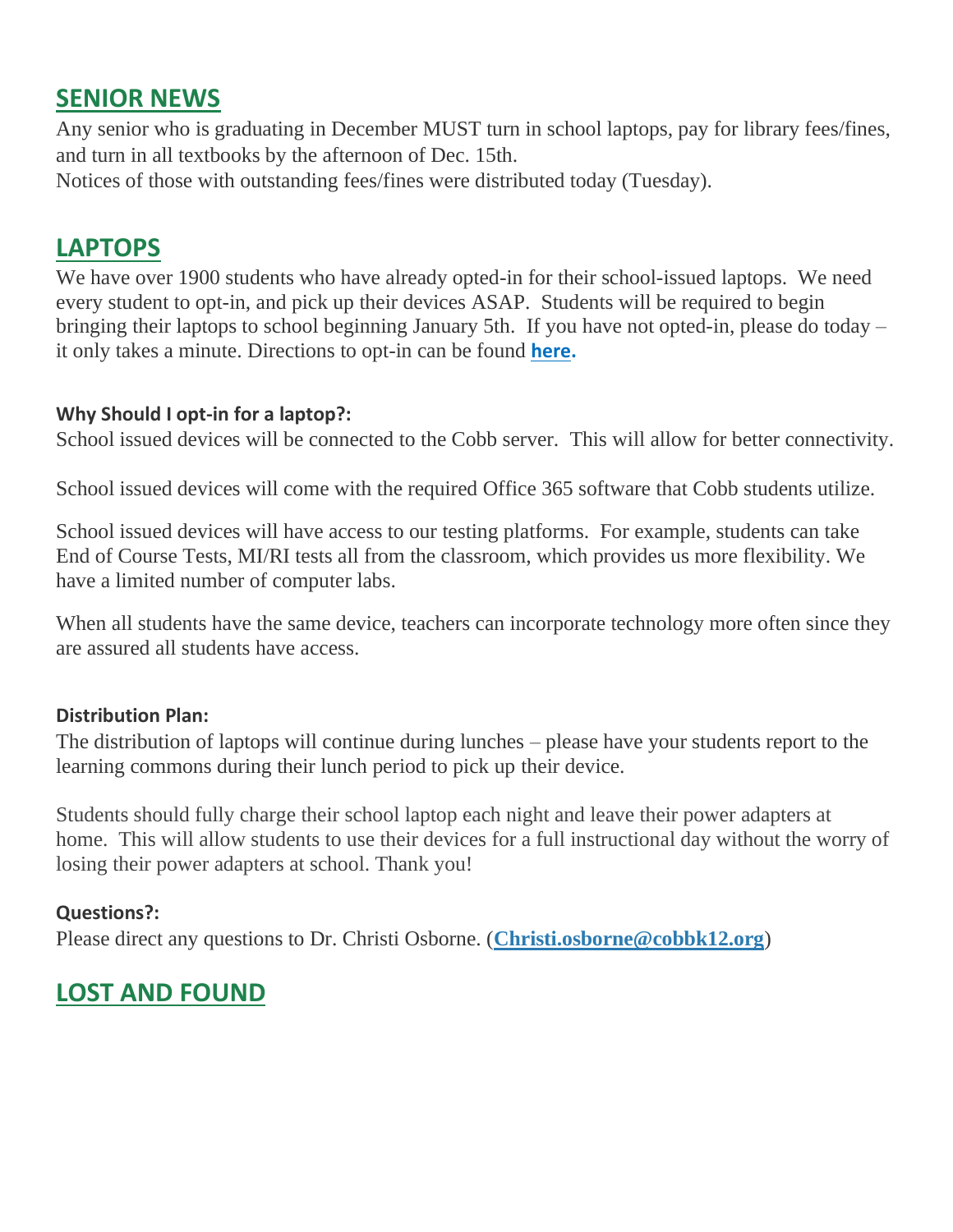## **SENIOR NEWS**

Any senior who is graduating in December MUST turn in school laptops, pay for library fees/fines, and turn in all textbooks by the afternoon of Dec. 15th.

Notices of those with outstanding fees/fines were distributed today (Tuesday).

# **LAPTOPS**

We have over 1900 students who have already opted-in for their school-issued laptops. We need every student to opt-in, and pick up their devices ASAP. Students will be required to begin bringing their laptops to school beginning January 5th. If you have not opted-in, please do today – it only takes a minute. Directions to opt-in can be found **[here.](http://url503.cobbk12.org/ls/click?upn=HU5K2q0Fz5ADTGboxPzOzUx-2FoxqvD40X8ef2vsqiBoK5lUpmPrrJUiWhJvXNIfJ270vmIswmX8KcH-2BqvxZwQo6gvxu00a9aZXsbo8PzdGuZO-2FACLIJYdhejZvcbBZazUYTnu_W-2BfLYUoUwwI1tuGClKRhhPOSepcZIFoXnUIMjiA717kQ1i13BNQTwwJ9cl-2BWArXr6-2FDxoCbNFrRaplJKtN7fZwlGTMOm3SJj6ZyahDng4fb813AYzG3qkleoqvkLGDE6SY8PNHVwenefN6nukaOFBp7zdtdPyGGXAqLke67Vvb-2FjHZQ2LUvmmG8EL994Qr25O5shivnvTfCffUdpw8mdabviMJZKcmwRaZIrLvf4vEDxF1eYNOrXsScUu0G4X0T-2BB07OKcY97Rx8WQz16YvPcQ-3D-3D)**

### **Why Should I opt-in for a laptop?:**

School issued devices will be connected to the Cobb server. This will allow for better connectivity.

School issued devices will come with the required Office 365 software that Cobb students utilize.

School issued devices will have access to our testing platforms. For example, students can take End of Course Tests, MI/RI tests all from the classroom, which provides us more flexibility. We have a limited number of computer labs.

When all students have the same device, teachers can incorporate technology more often since they are assured all students have access.

### **Distribution Plan:**

The distribution of laptops will continue during lunches – please have your students report to the learning commons during their lunch period to pick up their device.

Students should fully charge their school laptop each night and leave their power adapters at home. This will allow students to use their devices for a full instructional day without the worry of losing their power adapters at school. Thank you!

### **Questions?:**

Please direct any questions to Dr. Christi Osborne. (**[Christi.osborne@cobbk12.org](mailto:Christi.osborne@cobbk12.org)**)

# **LOST AND FOUND**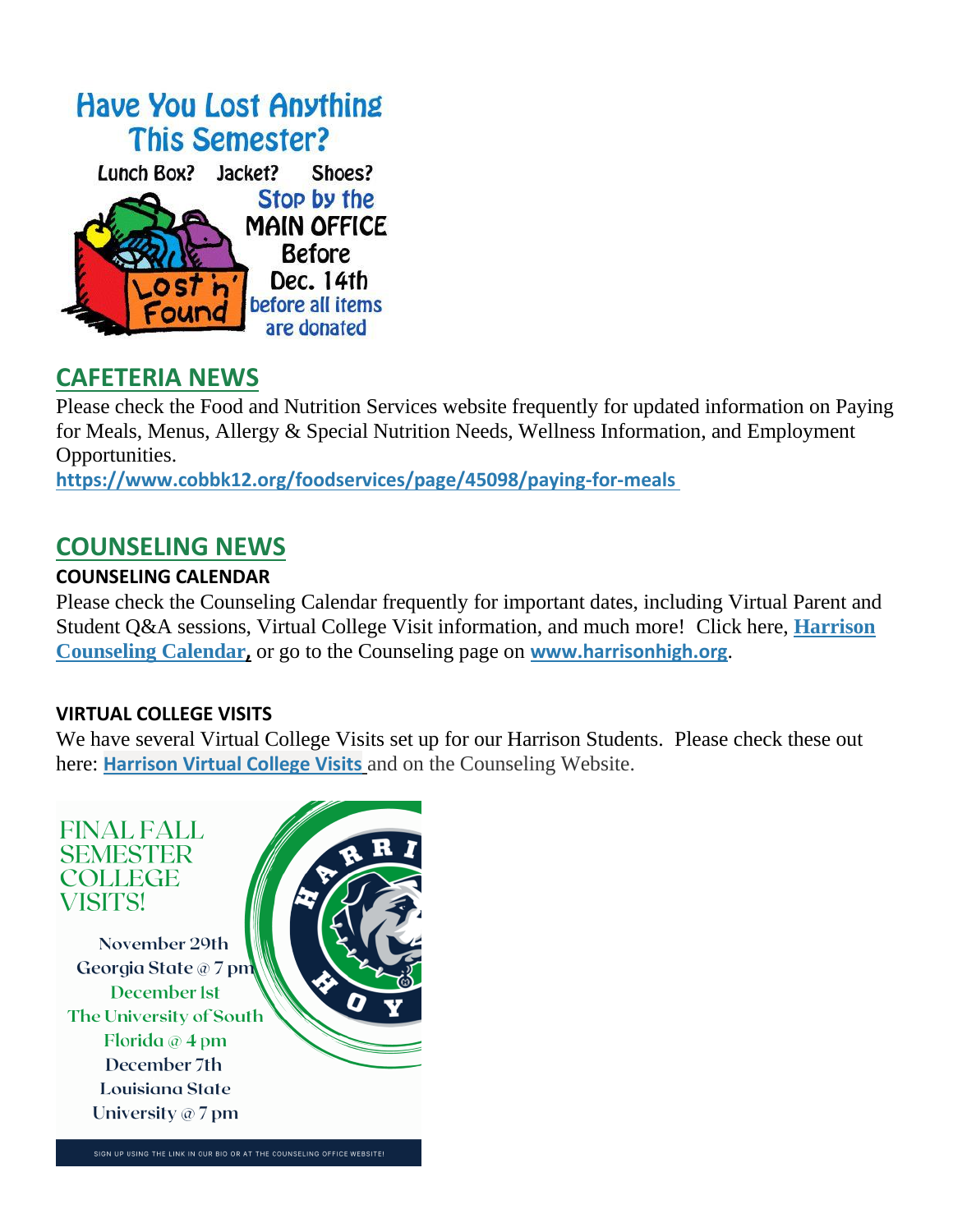

## **CAFETERIA NEWS**

Please check the Food and Nutrition Services website frequently for updated information on Paying for Meals, Menus, Allergy & Special Nutrition Needs, Wellness Information, and Employment Opportunities.

**[https://www.cobbk12.org/foodservices/page/45098/paying-for-meals](http://url503.cobbk12.org/ls/click?upn=oq5wnnHoD1NAxpT8rNAGXIgEcF6cFUXUYIe-2B8AO3LVyx4t4OJsNWVhu0iEI2j90fBOcAAqhr4f3pHktzPZuYg83p0mcu7zlRbWoKDhAG9jg-3D3O-M_W-2BfLYUoUwwI1tuGClKRhhPOSepcZIFoXnUIMjiA717kQ1i13BNQTwwJ9cl-2BWArXr6-2FDxoCbNFrRaplJKtN7fZwlGTMOm3SJj6ZyahDng4fb813AYzG3qkleoqvkLGDE6G0HhkkOWRlcUsWFtA7vT8aa31wtUM3Q5zXQxEz0DmM6nm2YNa7NQVKI0lJXTc-2FsuSTmddTJjkqANO7YYvX-2FUle-2FprGP-2BCmicSmCeVo-2FXZYmOyt0lmgOYRKREkAyhHpmtGRFbU5VpF9iXTBXx9dp76w-3D-3D)**

### **COUNSELING NEWS**

#### **COUNSELING CALENDAR**

Please check the Counseling Calendar frequently for important dates, including Virtual Parent and Student Q&A sessions, Virtual College Visit information, and much more! Click here, **[Harrison](http://url503.cobbk12.org/ls/click?upn=G8An3K6JlHsR8QtKBFuzdoB1znjZkDc3Km2Sgf1PHVpycz16KMZXgXgxh3dcC-2FS8NJmdhIjRhMEVOdXvIran0PoO612nc8dPRxDRKmrySvOyPaCPkwQVxnm5P9WY4kGuByjjBLs9jX8AnVcQz2F0xdPJWUq-2BTqmbYJsClRyFwEgRo9BS-2BibqsB2DQhPPMblVcSSM_W-2BfLYUoUwwI1tuGClKRhhPOSepcZIFoXnUIMjiA717kQ1i13BNQTwwJ9cl-2BWArXr6-2FDxoCbNFrRaplJKtN7fZwlGTMOm3SJj6ZyahDng4fb813AYzG3qkleoqvkLGDE6-2F-2F8B6LLKi5zl2xHiYgKIHHHhcyrFD-2FgusMYsVysOKgm9khMvzcSmQdp87Qpx2E-2BiY7h-2F5dGaeTWjZiuR20FezdDdPrAdDfCyg7JW1730MilVH72hmoJe-2FifKp9NAkNrjK7DJwarnor-2FDP8tJIreJwA-3D-3D)  [Counseling Calendar](http://url503.cobbk12.org/ls/click?upn=G8An3K6JlHsR8QtKBFuzdoB1znjZkDc3Km2Sgf1PHVpycz16KMZXgXgxh3dcC-2FS8NJmdhIjRhMEVOdXvIran0PoO612nc8dPRxDRKmrySvOyPaCPkwQVxnm5P9WY4kGuByjjBLs9jX8AnVcQz2F0xdPJWUq-2BTqmbYJsClRyFwEgRo9BS-2BibqsB2DQhPPMblVcSSM_W-2BfLYUoUwwI1tuGClKRhhPOSepcZIFoXnUIMjiA717kQ1i13BNQTwwJ9cl-2BWArXr6-2FDxoCbNFrRaplJKtN7fZwlGTMOm3SJj6ZyahDng4fb813AYzG3qkleoqvkLGDE6-2F-2F8B6LLKi5zl2xHiYgKIHHHhcyrFD-2FgusMYsVysOKgm9khMvzcSmQdp87Qpx2E-2BiY7h-2F5dGaeTWjZiuR20FezdDdPrAdDfCyg7JW1730MilVH72hmoJe-2FifKp9NAkNrjK7DJwarnor-2FDP8tJIreJwA-3D-3D),** or go to the Counseling page on **[www.harrisonhigh.org](http://url503.cobbk12.org/ls/click?upn=oq5wnnHoD1NAxpT8rNAGXO9pgQjsMrFEdSeXOUfDN1SmFc2KsGzpApGt0h4W-2BnTi3qOMFT0pAhpU4g9jzi2oghIA-2BD5qxCmArcny4yPncCY-3D6JA2_W-2BfLYUoUwwI1tuGClKRhhPOSepcZIFoXnUIMjiA717kQ1i13BNQTwwJ9cl-2BWArXr6-2FDxoCbNFrRaplJKtN7fZwlGTMOm3SJj6ZyahDng4fb813AYzG3qkleoqvkLGDE6f84925k92EoA7HnEM9v82cbyic7xxriHMihcAferfGNmuJgQC1esSvqL4dQpH7LEnZGpR6JYZDsi3w6F7yzYeCG-2FfAAB1dH3tgArwcoGLHgnJ0UXZjTAyM7Vr7jCU-2B46Y0PpVgCNT3cvYcf1tkWtfw-3D-3D)**.

#### **VIRTUAL COLLEGE VISITS**

We have several Virtual College Visits set up for our Harrison Students. Please check these out here: **[Harrison Virtual College Visits](http://url503.cobbk12.org/ls/click?upn=G8An3K6JlHsR8QtKBFuzdogXPJqD3Uz2QqY8s2OfxygfiXPa-2BLVg3oKWlcUFgjTffPxwSarE77p-2FOfJTl3QvbpgPiFEQheAZA772IpRJMifiqQmDkS-2BKBGjOIoKGjM7QQDhTGARgZvMYUugThyMfc1u3H422O6jO2zhAvrxBFglXp3F6gpegHyc5A3y-2BtXoarMbtV-2FDS2nSwRHJx513wzw-3D-3DmG-M_W-2BfLYUoUwwI1tuGClKRhhPOSepcZIFoXnUIMjiA717kQ1i13BNQTwwJ9cl-2BWArXr6-2FDxoCbNFrRaplJKtN7fZwlGTMOm3SJj6ZyahDng4fb813AYzG3qkleoqvkLGDE6Eyt8gHlwgXOvSDWa0eiZI1p7gF6P2c-2BCIYLW4lo6EcBP6XfNWEK0MvxpLqSo0rxdVJ3jQxoLquDl-2FU5hOy5-2BNAW-2B5Lh2OR-2BcU64VlQCHJbnhUshxjsVBbQ4D7ruB3JrwVzl3bzwUqY9KLsJekSX0cA-3D-3D)** and on the Counseling Website.

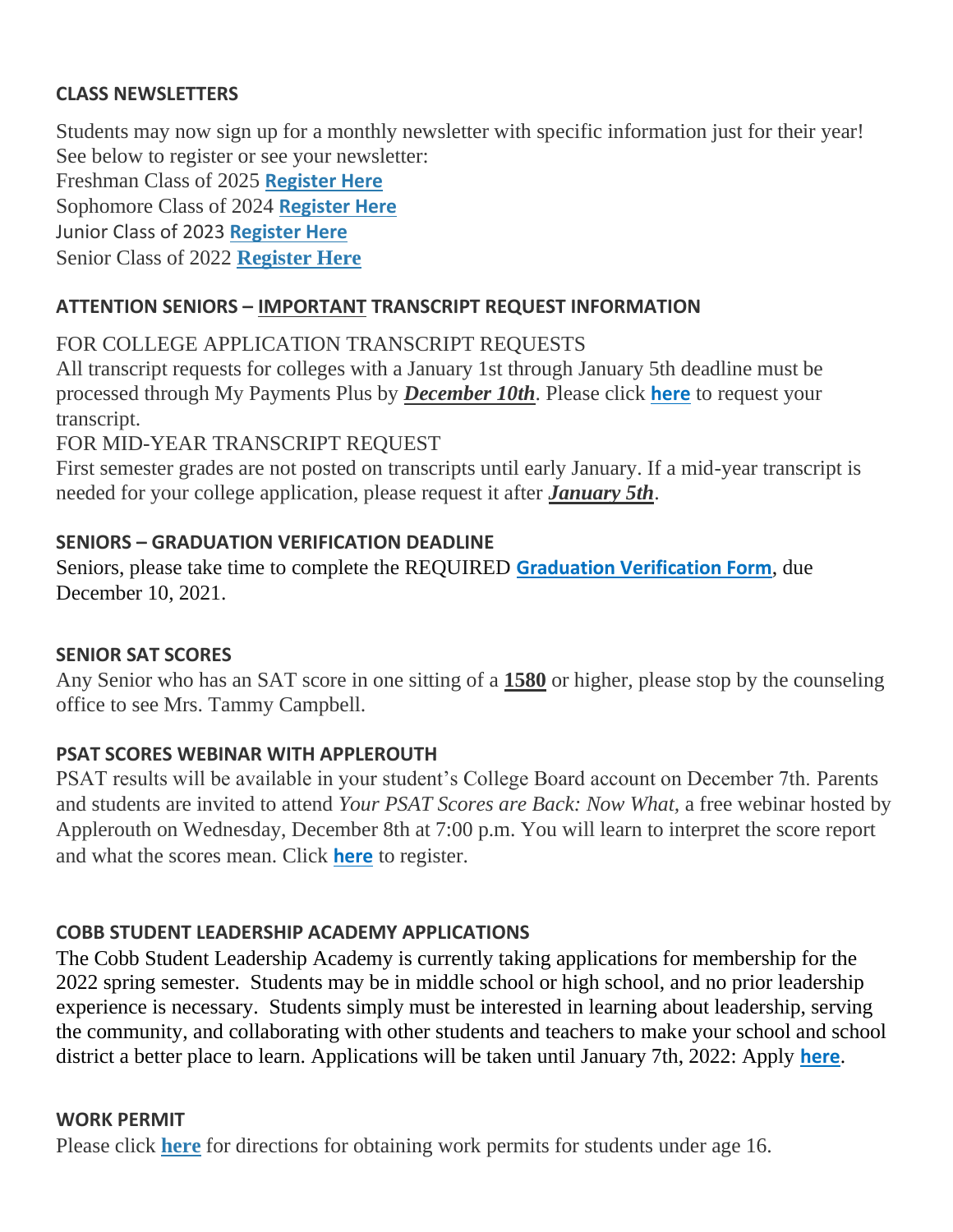#### **CLASS NEWSLETTERS**

Students may now sign up for a monthly newsletter with specific information just for their year! See below to register or see your newsletter:

Freshman Class of 2025 **[Register Here](http://url503.cobbk12.org/ls/click?upn=Lr5Kj85exJaDj793QUoDMxoBFqYG9jsvxI4LoJlDFzMhUCpXbnVhhqIbIvVR7eDkW2lzE7udnvgKuQAcOzbNvqwOcyAOegilze8a86prJ3frgbJArpe-2Bu9kCda-2FHphK4YS3syaEi6KXoq5ecEB9E0ne7Np47MCHzPx514UIHtE2z1DtWvQSMAPs1SLFsz3Lt4Qj6_W-2BfLYUoUwwI1tuGClKRhhPOSepcZIFoXnUIMjiA717kQ1i13BNQTwwJ9cl-2BWArXr6-2FDxoCbNFrRaplJKtN7fZwlGTMOm3SJj6ZyahDng4fb813AYzG3qkleoqvkLGDE6EeCckiBBrs-2B3f9f8qyvbb83bs2zRi-2F-2B7OjDkg3podzX4idGRBRjA6GZ5pWwpi1E-2F0DMWXLftfVO6iq6NNe-2Fkgh1GbaJHbIgEjHDGPVWDoDKYOELpaExooq2A45CrxTH5M2xyXnHy-2F-2Bzp4Ru8Kj3lCg-3D-3D)**

Sophomore Class of 2024 **[Register Here](http://url503.cobbk12.org/ls/click?upn=HU5K2q0Fz5ADTGboxPzOzV-2FXL0qE7BYVJk79MoYchrbCOX-2B3LonP5U2oZNoxy5AcBtluJIt2ARn38rp2KDKyAeBNN-2Fb5h181ewg5fbNU54WvCEZR610RnNa6PzQcmk9ZRwz9_W-2BfLYUoUwwI1tuGClKRhhPOSepcZIFoXnUIMjiA717kQ1i13BNQTwwJ9cl-2BWArXr6-2FDxoCbNFrRaplJKtN7fZwlGTMOm3SJj6ZyahDng4fb813AYzG3qkleoqvkLGDE6bFbeHD5FNSxXTnwibkLK7vpwS1G7ajlu71xWO3cZFfT8Kif2vtMGfHmwPP2Roq6KMT9EOctfy0UfBq-2BOs2eB9IC5kVMEfgKGkMbZ1b5mNxaWRK2K2dSaPCs-2FQpeZ-2BaVvuzwLfpd14P3yjGoe0-2FGngQ-3D-3D)**

Junior Class of 2023 **[Register Here](http://url503.cobbk12.org/ls/click?upn=HU5K2q0Fz5ADTGboxPzOzc-2FmDrLeRPv-2F5f6cytuJSxI0trpBiz9UDAwo-2Bcb69f-2BotMmx4AwlG5hn6eMqzvsNDsYVvUofQRcF3tP7lqOzjVNqfGZzo2pBbv9178J2dZt2supnlVwvxbV-2B2CZdWNWDsw-3D-3DOzPF_W-2BfLYUoUwwI1tuGClKRhhPOSepcZIFoXnUIMjiA717kQ1i13BNQTwwJ9cl-2BWArXr6-2FDxoCbNFrRaplJKtN7fZwlGTMOm3SJj6ZyahDng4fb813AYzG3qkleoqvkLGDE6JXYNvWk8ClIXI5gyEkB0VoJIXXHi1kMrAvSbCNamSmtlWVS6VmDDjIDVbxgVEvdzYjEwTTDdjb068O0floQDQMyEb-2BLnmi2C-2Fi-2BzylMFU3xVa-2BiffoS5bp4SZ6DyEVxYAO2Ggy-2Fft2YqyBUmC-2FHN4g-3D-3D)**

Senior Class of 2022 **[Register Here](http://url503.cobbk12.org/ls/click?upn=Lr5Kj85exJaDj793QUoDMxoBFqYG9jsvxI4LoJlDFzMhUCpXbnVhhqIbIvVR7eDkW2lzE7udnvgKuQAcOzbNvqwOcyAOegilze8a86prJ3dDt6tBPLENBJTdrQCUrueLZgINQSeok4wIPB8t7DObpshp395kKSQ2QJBawc2T6bK-2FQpKcY6cz3X5556wmPmprnQ09_W-2BfLYUoUwwI1tuGClKRhhPOSepcZIFoXnUIMjiA717kQ1i13BNQTwwJ9cl-2BWArXr6-2FDxoCbNFrRaplJKtN7fZwlGTMOm3SJj6ZyahDng4fb813AYzG3qkleoqvkLGDE6PShHkIJyG5Aiud7ImPYVOnU3REH7gjWoEaHeW4lglNsx5fD-2BMZhKiTFzyXRflRDVHCr0NuNXjsiaIFXgtMFjNpaVI-2BFDxKUJiK7DXrQDWWXjp-2FmIcoqSC2byqcEy1KCxr8O-2Bapk-2Be3YxUVGDdJpq1g-3D-3D)**

#### **ATTENTION SENIORS – IMPORTANT TRANSCRIPT REQUEST INFORMATION**

### FOR COLLEGE APPLICATION TRANSCRIPT REQUESTS

All transcript requests for colleges with a January 1st through January 5th deadline must be processed through My Payments Plus by *December 10th*. Please click **[here](http://url503.cobbk12.org/ls/click?upn=HU5K2q0Fz5ADTGboxPzOzV-2FXL0qE7BYVJk79MoYchrbS-2B-2BPvFNzCqRtAWujduLnXKrI5Tcb7M2X9wfzkRlhjQvpLT0KvIGKvwZqo2V8CQzU-3Dom3X_W-2BfLYUoUwwI1tuGClKRhhPOSepcZIFoXnUIMjiA717kQ1i13BNQTwwJ9cl-2BWArXr6-2FDxoCbNFrRaplJKtN7fZwlGTMOm3SJj6ZyahDng4fb813AYzG3qkleoqvkLGDE6KaLkZivYaPYuPgglk0Gjq2Vw5e4lLSeY-2Bov2UYddkvkU1GyGsHXodfKV2PZmamNHj0Ck1rv34wrPQTsHUCd0ZiMOj-2Fl-2BOLRv9Jpfhoo4rZho20Lmqk9a3aVqlZmKGD7-2B6YXCsuvNqumE001SlJd-2Fbg-3D-3D)** to request your transcript.

### FOR MID-YEAR TRANSCRIPT REQUEST

First semester grades are not posted on transcripts until early January. If a mid-year transcript is needed for your college application, please request it after *January 5th*.

#### **SENIORS – GRADUATION VERIFICATION DEADLINE**

Seniors, please take time to complete the REQUIRED **[Graduation Verification Form](http://url503.cobbk12.org/ls/click?upn=HU5K2q0Fz5ADTGboxPzOzUx-2FoxqvD40X8ef2vsqiBoJEMyW8rsb6x-2F9486G-2BbJFdY2lh9p-2B-2BvoK6K0n8LSEIcsAsqmyr4FoT7mndZb7p9dygObSEWLId-2BavViknTaHwd3nMzWWhE6JMeK08uIcReif3n0HVW14XcdEl1bqiPvUg-2FnnCEiVnD80iW3QWbKslmhcHJ_W-2BfLYUoUwwI1tuGClKRhhPOSepcZIFoXnUIMjiA717kQ1i13BNQTwwJ9cl-2BWArXr6-2FDxoCbNFrRaplJKtN7fZwlGTMOm3SJj6ZyahDng4fb813AYzG3qkleoqvkLGDE6raMhJ9VoAcyAL-2F8cJPOZISfoYGf83ITrMwVwtyo-2FW0MSLnJ1jqWdxMwJdRBDqJspjqWBBg5oM6YhegaYo9BF0H8xj2wrGUE1fsVp4dOZf4tf8AjpYm2cgcQSA4qfM1EcaS1TAdPm103qYRmRbT5KBw-3D-3D)**, due December 10, 2021.

#### **SENIOR SAT SCORES**

Any Senior who has an SAT score in one sitting of a **1580** or higher, please stop by the counseling office to see Mrs. Tammy Campbell.

### **PSAT SCORES WEBINAR WITH APPLEROUTH**

PSAT results will be available in your student's College Board account on December 7th. Parents and students are invited to attend *Your PSAT Scores are Back: Now What,* a free webinar hosted by Applerouth on Wednesday, December 8th at 7:00 p.m. You will learn to interpret the score report and what the scores mean. Click **[here](http://url503.cobbk12.org/ls/click?upn=oq5wnnHoD1NAxpT8rNAGXLw-2FETaD7B57rXxVPUpGpUABXqqzHFTFlAkZhhQcHBlgMv66cICpek23y-2BjPELYhoQ-3D-3DPg9Z_W-2BfLYUoUwwI1tuGClKRhhPOSepcZIFoXnUIMjiA717kQ1i13BNQTwwJ9cl-2BWArXr6-2FDxoCbNFrRaplJKtN7fZwlGTMOm3SJj6ZyahDng4fb813AYzG3qkleoqvkLGDE66zEdT9IebM9BaqUveBiV-2BHBDMKXoXMUgHfH7h2ocWxGT53satr-2Fjj3VJlrl6kohsDPi-2FIGj4XKBIB4kZbaL5jnt9xaaXoPL1qJghdgfX49ZF1VJ9o37IltaA7ICRPJ6Vsz4xtcbPvxgCAIbHxw4-2B3g-3D-3D)** to register.

### **COBB STUDENT LEADERSHIP ACADEMY APPLICATIONS**

The Cobb Student Leadership Academy is currently taking applications for membership for the 2022 spring semester. Students may be in middle school or high school, and no prior leadership experience is necessary. Students simply must be interested in learning about leadership, serving the community, and collaborating with other students and teachers to make your school and school district a better place to learn. Applications will be taken until January 7th, 2022: Apply **[here](http://url503.cobbk12.org/ls/click?upn=Lr5Kj85exJaDj793QUoDMyW95FnMm6X-2FbjyUKnhH2pa7eaW9N3NYlAtFsq7zZIUm87ib_W-2BfLYUoUwwI1tuGClKRhhPOSepcZIFoXnUIMjiA717kQ1i13BNQTwwJ9cl-2BWArXr6-2FDxoCbNFrRaplJKtN7fZwlGTMOm3SJj6ZyahDng4fb813AYzG3qkleoqvkLGDE61lnze6HU6MTVAGqDLxBdpytdx-2BZF3IAjPGJVP46xkjCiUWZilD-2FJxvSRBUO3u-2FrODCxMWxC7QYxygiS1a5awApGl-2Be2gQFllVDtdne3mYhuzpLBbP11zNDGwqDfBNwBo2n3GwSU-2Fs7Nnfz80iuTbjw-3D-3D)**.

#### **WORK PERMIT**

Please click **[here](http://url503.cobbk12.org/ls/click?upn=HU5K2q0Fz5ADTGboxPzOzV-2FXL0qE7BYVJk79MoYchragV5467tisWoPAB9agzSUHDsbqBYccGjiUhV-2FDTHAbpapsLFisWAfYtS-2FB87HhzALBJIiH1yo6DrPdn5r31JRcQAdA_W-2BfLYUoUwwI1tuGClKRhhPOSepcZIFoXnUIMjiA717kQ1i13BNQTwwJ9cl-2BWArXr6-2FDxoCbNFrRaplJKtN7fZwlGTMOm3SJj6ZyahDng4fb813AYzG3qkleoqvkLGDE6qiHJsTKrrzICNhz5iNINk7adPtMamFT3IbQmsCIX38HwLhG2rG1mnY6vh9C8msPxVUpXrLFiSCA8dTtQ6nsPVd53aqsVd3T7i6RuFIFhpYK3GfCbc2FatdZMVuODwo3Asdb17FZexMxPnRWxtylmYg-3D-3D)** for directions for obtaining work permits for students under age 16.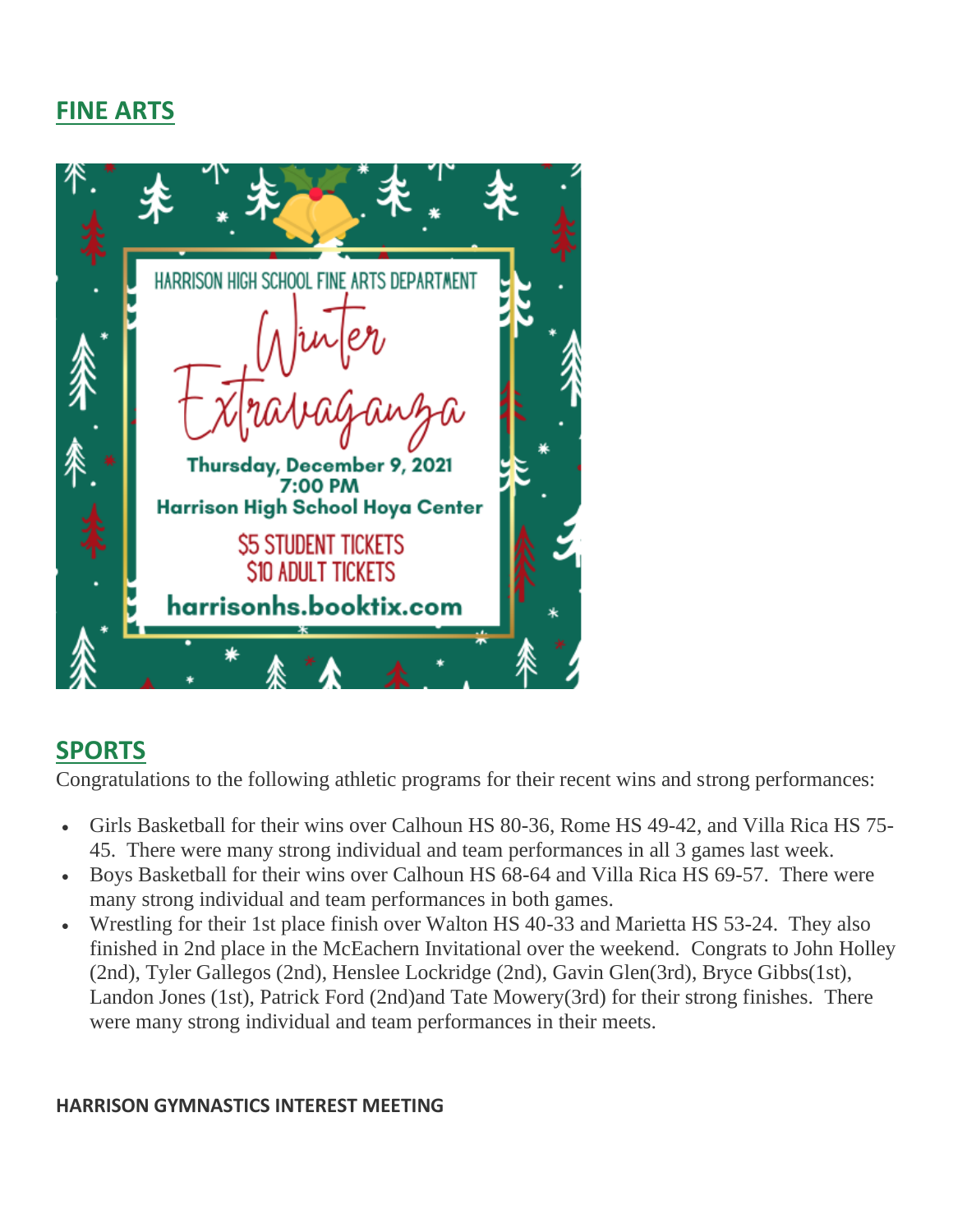# **FINE ARTS**



# **SPORTS**

Congratulations to the following athletic programs for their recent wins and strong performances:

- Girls Basketball for their wins over Calhoun HS 80-36, Rome HS 49-42, and Villa Rica HS 75- 45. There were many strong individual and team performances in all 3 games last week.
- Boys Basketball for their wins over Calhoun HS 68-64 and Villa Rica HS 69-57. There were many strong individual and team performances in both games.
- Wrestling for their 1st place finish over Walton HS 40-33 and Marietta HS 53-24. They also finished in 2nd place in the McEachern Invitational over the weekend. Congrats to John Holley (2nd), Tyler Gallegos (2nd), Henslee Lockridge (2nd), Gavin Glen(3rd), Bryce Gibbs(1st), Landon Jones (1st), Patrick Ford (2nd)and Tate Mowery(3rd) for their strong finishes. There were many strong individual and team performances in their meets.

#### **HARRISON GYMNASTICS INTEREST MEETING**